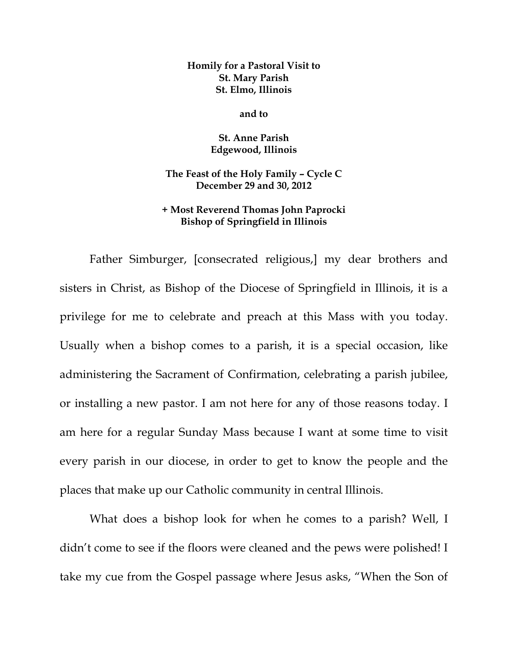## **Homily for a Pastoral Visit to St. Mary Parish St. Elmo, Illinois**

**and to** 

**St. Anne Parish Edgewood, Illinois** 

**The Feast of the Holy Family – Cycle C December 29 and 30, 2012** 

## **+ Most Reverend Thomas John Paprocki Bishop of Springfield in Illinois**

Father Simburger, [consecrated religious,] my dear brothers and sisters in Christ, as Bishop of the Diocese of Springfield in Illinois, it is a privilege for me to celebrate and preach at this Mass with you today. Usually when a bishop comes to a parish, it is a special occasion, like administering the Sacrament of Confirmation, celebrating a parish jubilee, or installing a new pastor. I am not here for any of those reasons today. I am here for a regular Sunday Mass because I want at some time to visit every parish in our diocese, in order to get to know the people and the places that make up our Catholic community in central Illinois.

What does a bishop look for when he comes to a parish? Well, I didn't come to see if the floors were cleaned and the pews were polished! I take my cue from the Gospel passage where Jesus asks, "When the Son of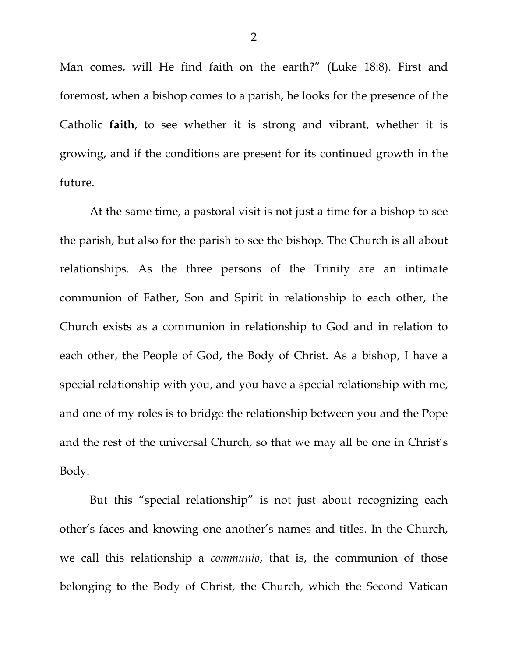Man comes, will He find faith on the earth?" (Luke 18:8). First and foremost, when a bishop comes to a parish, he looks for the presence of the Catholic **faith**, to see whether it is strong and vibrant, whether it is growing, and if the conditions are present for its continued growth in the future.

At the same time, a pastoral visit is not just a time for a bishop to see the parish, but also for the parish to see the bishop. The Church is all about relationships. As the three persons of the Trinity are an intimate communion of Father, Son and Spirit in relationship to each other, the Church exists as a communion in relationship to God and in relation to each other, the People of God, the Body of Christ. As a bishop, I have a special relationship with you, and you have a special relationship with me, and one of my roles is to bridge the relationship between you and the Pope and the rest of the universal Church, so that we may all be one in Christ's Body.

But this "special relationship" is not just about recognizing each other's faces and knowing one another's names and titles. In the Church, we call this relationship a *communio*, that is, the communion of those belonging to the Body of Christ, the Church, which the Second Vatican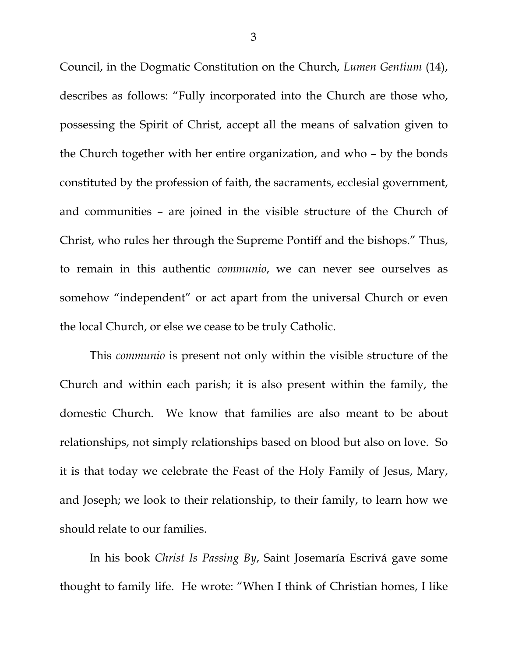Council, in the Dogmatic Constitution on the Church, *Lumen Gentium* (14), describes as follows: "Fully incorporated into the Church are those who, possessing the Spirit of Christ, accept all the means of salvation given to the Church together with her entire organization, and who – by the bonds constituted by the profession of faith, the sacraments, ecclesial government, and communities – are joined in the visible structure of the Church of Christ, who rules her through the Supreme Pontiff and the bishops." Thus, to remain in this authentic *communio*, we can never see ourselves as somehow "independent" or act apart from the universal Church or even the local Church, or else we cease to be truly Catholic.

This *communio* is present not only within the visible structure of the Church and within each parish; it is also present within the family, the domestic Church. We know that families are also meant to be about relationships, not simply relationships based on blood but also on love. So it is that today we celebrate the Feast of the Holy Family of Jesus, Mary, and Joseph; we look to their relationship, to their family, to learn how we should relate to our families.

In his book *Christ Is Passing By*, Saint Josemaría Escrivá gave some thought to family life. He wrote: "When I think of Christian homes, I like

3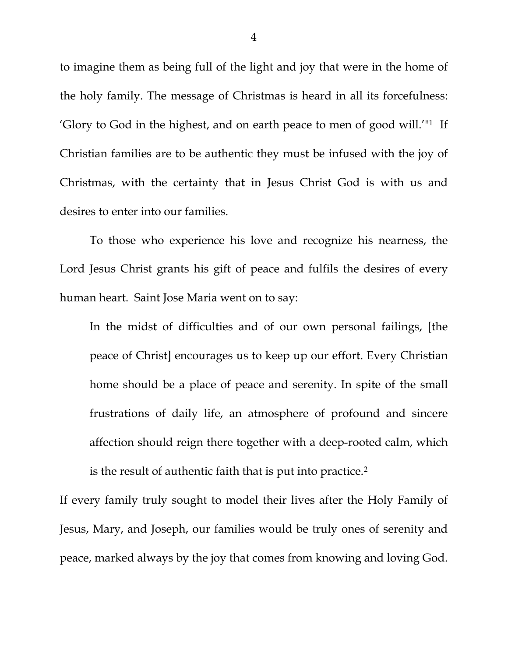to imagine them as being full of the light and joy that were in the home of the holy family. The message of Christmas is heard in all its forcefulness: 'Glory to God in the highest, and on earth peace to men of good will.'"1 If Christian families are to be authentic they must be infused with the joy of Christmas, with the certainty that in Jesus Christ God is with us and desires to enter into our families.

To those who experience his love and recognize his nearness, the Lord Jesus Christ grants his gift of peace and fulfils the desires of every human heart. Saint Jose Maria went on to say:

In the midst of difficulties and of our own personal failings, [the peace of Christ] encourages us to keep up our effort. Every Christian home should be a place of peace and serenity. In spite of the small frustrations of daily life, an atmosphere of profound and sincere affection should reign there together with a deep-rooted calm, which is the result of authentic faith that is put into practice.<sup>2</sup>

If every family truly sought to model their lives after the Holy Family of Jesus, Mary, and Joseph, our families would be truly ones of serenity and peace, marked always by the joy that comes from knowing and loving God.

4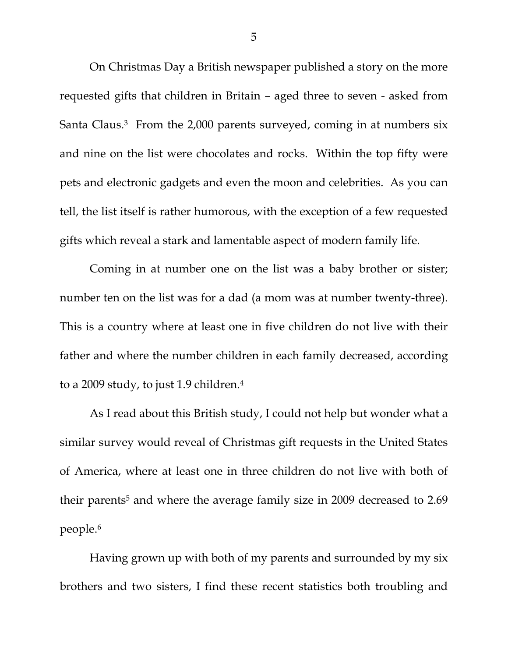On Christmas Day a British newspaper published a story on the more requested gifts that children in Britain – aged three to seven - asked from Santa Claus.<sup>3</sup> From the 2,000 parents surveyed, coming in at numbers six and nine on the list were chocolates and rocks. Within the top fifty were pets and electronic gadgets and even the moon and celebrities. As you can tell, the list itself is rather humorous, with the exception of a few requested gifts which reveal a stark and lamentable aspect of modern family life.

Coming in at number one on the list was a baby brother or sister; number ten on the list was for a dad (a mom was at number twenty-three). This is a country where at least one in five children do not live with their father and where the number children in each family decreased, according to a 2009 study, to just 1.9 children.4

As I read about this British study, I could not help but wonder what a similar survey would reveal of Christmas gift requests in the United States of America, where at least one in three children do not live with both of their parents<sup>5</sup> and where the average family size in 2009 decreased to 2.69 people.6

Having grown up with both of my parents and surrounded by my six brothers and two sisters, I find these recent statistics both troubling and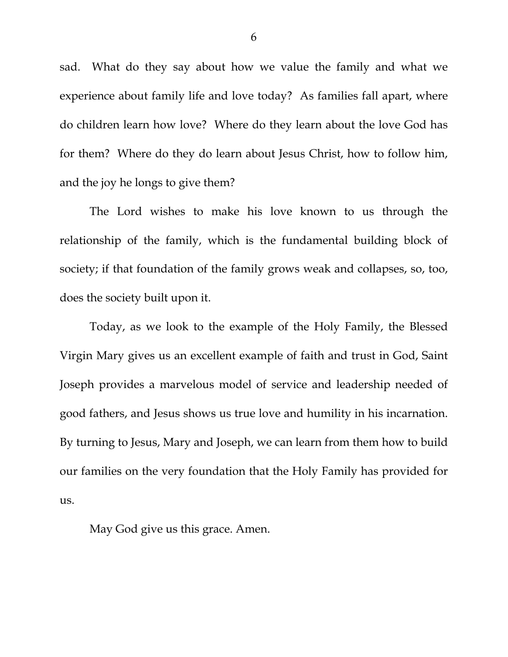sad. What do they say about how we value the family and what we experience about family life and love today? As families fall apart, where do children learn how love? Where do they learn about the love God has for them? Where do they do learn about Jesus Christ, how to follow him, and the joy he longs to give them?

The Lord wishes to make his love known to us through the relationship of the family, which is the fundamental building block of society; if that foundation of the family grows weak and collapses, so, too, does the society built upon it.

Today, as we look to the example of the Holy Family, the Blessed Virgin Mary gives us an excellent example of faith and trust in God, Saint Joseph provides a marvelous model of service and leadership needed of good fathers, and Jesus shows us true love and humility in his incarnation. By turning to Jesus, Mary and Joseph, we can learn from them how to build our families on the very foundation that the Holy Family has provided for us.

May God give us this grace. Amen.